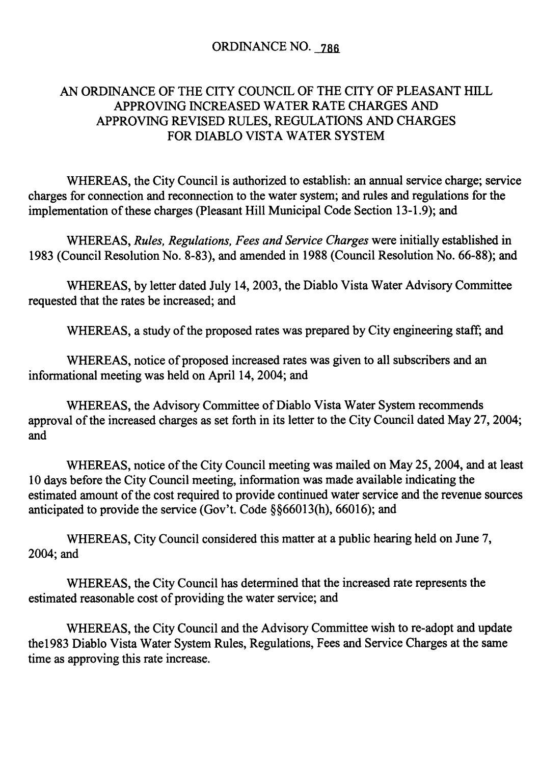#### ORDINANCE NO. 786

#### AN ORDINANCE OF THE CITY COUNCIL OF THE CITY OF PLEASANT HILL APPROVING INCREASED WATER RATE CHARGES AND APPROVING REVISED RULES, REGULATIONS AND CHARGES FOR DIABLO VISTA WATER SYSTEM

WHEREAS, the City Council is authorized to establish: an annual service charge; service charges for connection and reconnection to the water system; and rules and regulations for the implementation of these charges (Pleasant Hill Municipal Code Section 13-1.9); and

WHEREAS, Rules, Regulations, Fees and Service Charges were initially established in 1983 (Council Resolution No. 8-83), and amended in 1988 (Council Resolution No. 66-88); and

WHEREAS, by letter dated July 14, 2003, the Diablo Vista Water Advisory Committee requested that the rates be increased; and

WHEREAS, a study of the proposed rates was prepared by City engineering staff; and

WHEREAS, notice of proposed increased rates was given to all subscribers and an informational meeting was held on April 14, 2004; and

WHEREAS, the Advisory Committee of Diablo Vista Water System recommends approval of the increased charges as set forth in its letter to the City Council dated May 27, 2004; and

WHEREAS, notice of the City Council meeting was mailed on May 25, 2004, and at least 10 days before the City Council meeting, information was made available indicating the estimated amount of the cost required to provide continued water service and the revenue sources anticipated to provide the service (Gov't. Code  $\S$ § 66013(h), 66016); and

WHEREAS, City Council considered this matter at a public hearing held on June 7, 2004; and

WHEREAS, the City Council has determined that the increased rate represents the estimated reasonable cost of providing the water service; and

WHEREAS, the City Council and the Advisory Committee wish to re -adopt and update the1983 Diablo Vista Water System Rules, Regulations, Fees and Service Charges at the same time as approving this rate increase.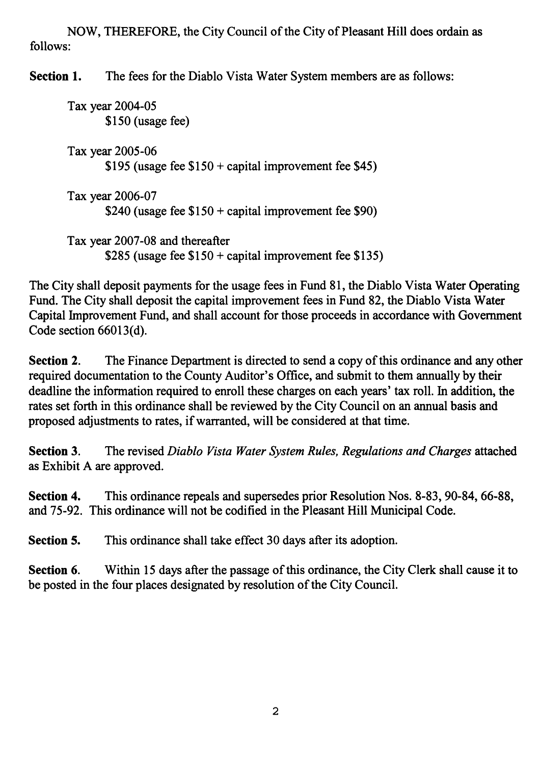NOW, THEREFORE, the City Council of the City of Pleasant Hill does ordain as follows:

Section 1. The fees for the Diablo Vista Water System members are as follows:

Tax year 2004-05 \$150 (usage fee) Tax year 2005-06 \$195 (usage fee  $$150 + capital improvement fee $45$ ) Tax year 2006-07 \$240 (usage fee  $$150 + capital improvement fee $90)$ Tax year 2007-08 and thereafter \$285 (usage fee  $$150 + capital$  improvement fee \$135)

The City shall deposit payments for the usage fees in Fund 81, the Diablo Vista Water Operating Fund. The City shall deposit the capital improvement fees in Fund 82, the Diablo Vista Water Capital Improvement Fund, and shall account for those proceeds in accordance with Government Code section  $66013(d)$ .

Section 2. The Finance Department is directed to send a copy of this ordinance and any other required documentation to the County Auditor's Office, and submit to them annually by their deadline the information required to enroll these charges on each years' tax roll. In addition, the rates set forth in this ordinance shall be reviewed by the City Council on an annual basis and proposed adjustments to rates, if warranted, will be considered at that time.

Section 3. The revised Diablo Vista Water System Rules, Regulations and Charges attached as Exhibit A are approved.

Section 4. This ordinance repeals and supersedes prior Resolution Nos. 8-83, 90-84, 66-88, and 75-92. This ordinance will not be codified in the Pleasant Hill Municipal Code.

Section 5. This ordinance shall take effect 30 days after its adoption.

Section 6. Within 15 days after the passage of this ordinance, the City Clerk shall cause it to be posted in the four places designated by resolution of the City Council.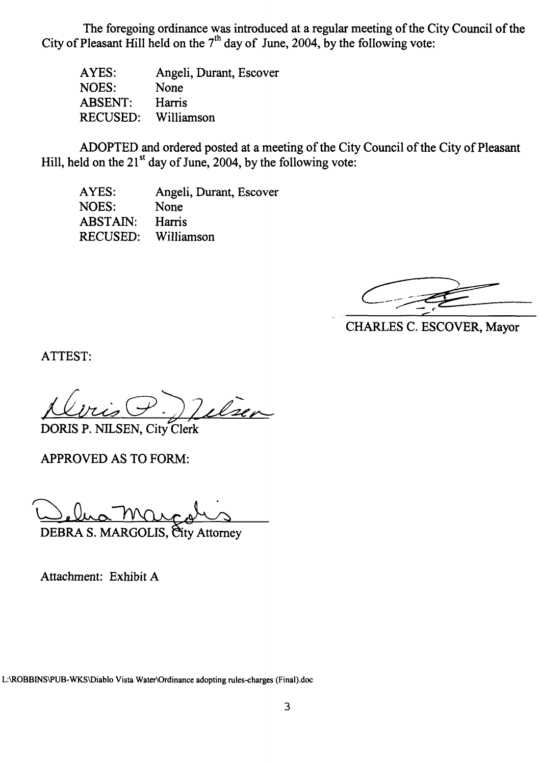The foregoing ordinance was introduced at a regular meeting of the City Council of the City of Pleasant Hill held on the  $7<sup>th</sup>$  day of June, 2004, by the following vote:

AYES: NOES: ABSENT: RECUSED: Angeli, Durant, Escover None Harris Williamson

ADOPTED and ordered posted at a meeting of the City Council of the City of Pleasant Hill, held on the  $21^{st}$  day of June, 2004, by the following vote:

AYES: NOES: ABSTAIN: RECUSED: Angeli, Durant, Escover None Harris Williamson

CHARLES C. ESCOVER, Mayor

ATTEST:

Vilsen DORIS P. NILSEN, City Clerk

APPROVED AS TO FORM:

DEBRA S. MARGOLIS, City Attorney

Attachment: Exhibit A

L:\ROBBINS\PUB-WKS\ Diablo Vista Water\Ordinance adopting rules -charges ( Final).doc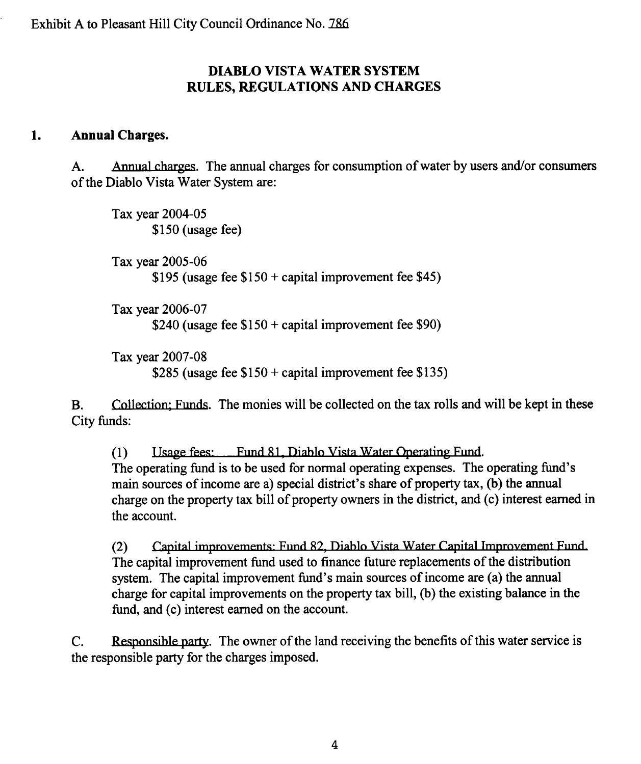#### DIABLO VISTA WATER SYSTEM RULES, REGULATIONS AND CHARGES

#### 1. Annual Charges.

A. Annual charges. The annual charges for consumption of water by users and/ or consumers of the Diablo Vista Water System are:

Tax year 2004-05 \$150 (usage fee)

Tax year 2005-06 \$195 (usage fee  $$150 +$  capital improvement fee \$45)

Tax year 2006-07 \$240 (usage fee  $$150 + capital$  improvement fee \$90)

Tax year 2007-08 \$285 (usage fee  $$150 +$  capital improvement fee \$135)

B. Collection; Funds. The monies will be collected on the tax rolls and will be kept in these City funds:

(1) Isage fees: Fund 81, Diablo Vista Water Operating Fund. The operating fund is to be used for normal operating expenses. The operating fund's main sources of income are a) special district's share of property tax, (b) the annual charge on the property tax bill of property owners in the district, and (c) interest earned in the account.

(2) Capital improvements: Fund 82, Diablo Vista Water Capital Improvement Fund. The capital improvement fund used to finance future replacements of the distribution system. The capital improvement fund's main sources of income are (a) the annual charge for capital improvements on the property tax bill, (b) the existing balance in the fund, and (c) interest earned on the account.

C. Responsible party. The owner of the land receiving the benefits of this water service is the responsible party for the charges imposed.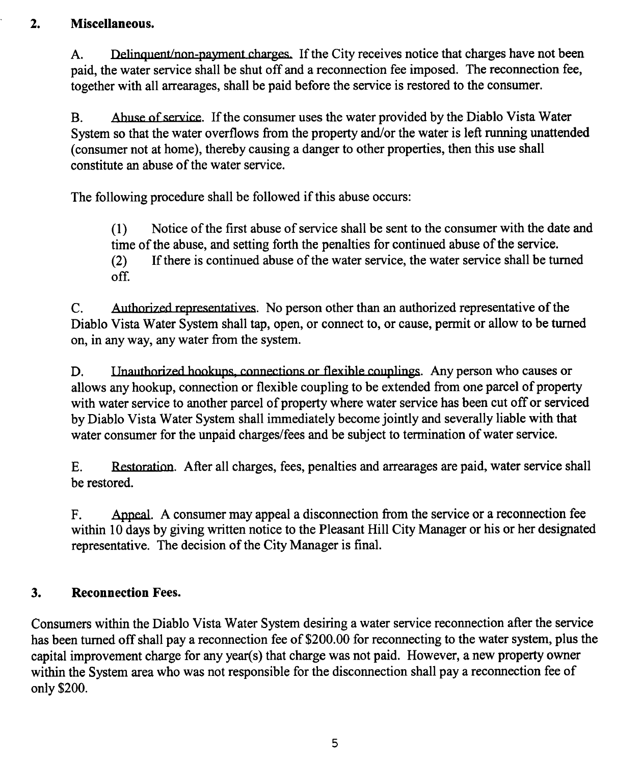## 2. Miscellaneous.

paid, the water service shall be shut off and <sup>a</sup> reconnection fee imposed. The reconnection fee, together with all arrearages, shall be paid before the service is restored to the consumer.

B. Abuse of service. If the consumer uses the water provided by the Diablo Vista Water System so that the water overflows from the property and/or the water is left running unattended consumer not at home), thereby causing a danger to other properties, then this use shall constitute an abuse of the water service.

The following procedure shall be followed if this abuse occurs:

1) Notice ofthe first abuse of service shall be sent to the consumer with the date and time of the abuse, and setting forth the penalties for continued abuse of the service.<br>(2) If there is continued abuse of the water service, the water service shall be tu If there is continued abuse of the water service, the water service shall be turned off.

C. Authorized representatives. No person other than an authorized representative of the Diablo Vista Water System shall tap, open, or connect to, or cause, permit or allow to be turned on, in any way, any water from the system.

D. Inauthorized hookups, connections or flexible couplings. Any person who causes or allows any hookup, connection or flexible coupling to be extended from one parcel of property with water service to another parcel of property where water service has been cut off or serviced by Diablo Vista Water System shall immediately become jointly and severally liable with that water consumer for the unpaid charges/fees and be subject to termination of water service.

E. Restoration After all charges, fees, penalties and arrearages are paid, water service shall be restored.

F. Appeal. A consumer may appeal <sup>a</sup> disconnection from the service or <sup>a</sup> reconnection fee within 10 days by giving written notice to the Pleasant Hill City Manager or his or her designated representative. The decision of the City Manager is final.

## 3. Reconnection Fees.

Miscellaneous.<br>
A. Dalinquaminan-pagment changes. If the City receives notice that charges have not been<br>pagit the vator service ball be shall of f and a reconnection fee imposed. The reconnection for,<br>
nogener with all u Consumers within the Diablo Vista Water System desiring a water service reconnection after the service has been turned off shall pay <sup>a</sup> reconnection fee of \$200.00 for reconnecting to the water system, plus the capital improvement charge for any year(s) that charge was not paid. However, a new property owner within the System area who was not responsible for the disconnection shall pay <sup>a</sup> reconnection fee of only \$200.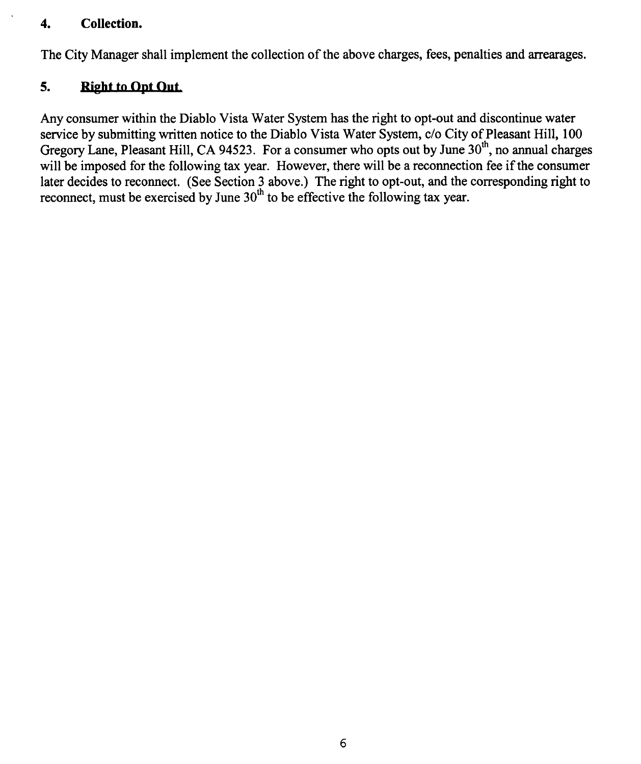#### 4. Collection.

The City Manager shall implement the collection of the above charges, fees, penalties and arrearages.

### 5. Right to Opt Out.

Any consumer within the Diablo Vista Water System has the right to opt -out and discontinue water service by submitting written notice to the Diablo Vista Water System, c/o City of Pleasant Hill, 100 Gregory Lane, Pleasant Hill, CA 94523. For a consumer who opts out by June 30<sup>th</sup>, no annual charges will be imposed for the following tax year. However, there will be a reconnection fee if the consumer later decides to reconnect. (See Section 3 above.) The right to opt-out, and the corresponding right to reconnect, must be exercised by June  $30<sup>th</sup>$  to be effective the following tax year.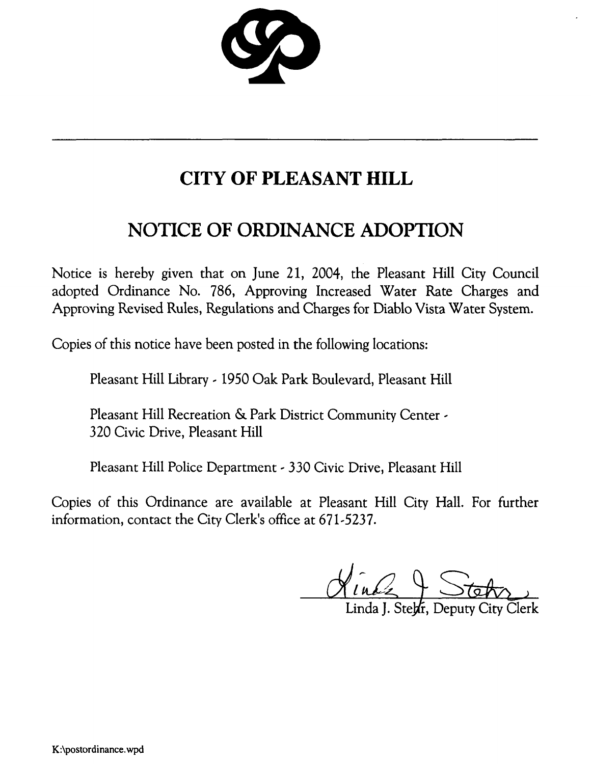$\boldsymbol{\lambda}$ 

# CITY OF PLEASANT HILL

# NOTICE OF ORDINANCE ADOPTION

Notice is hereby given that on June 21, 2004, the Pleasant Hill City Council adopted Ordinance No. 786, Approving Increased Water Rate Charges and Approving Revised Rules, Regulations and Charges for Diablo Vista Water System.

Copies of this notice have been posted in the following locations:

Pleasant Hill Library - <sup>1950</sup> Oak Park Boulevard, Pleasant Hill

Pleasant Hill Recreation & Park District Community Center - 320 Civic Drive, Pleasant Hill

Pleasant Hill Police Department - 330 Civic Drive, Pleasant Hill

Copies of this Ordinance are available at Pleasant Hill City Hall. For further information, contact the City Clerk's office at 671-5237.

 $X$ inde 4  $S$ 

Linda I. Stehr. Deputy City Clerk